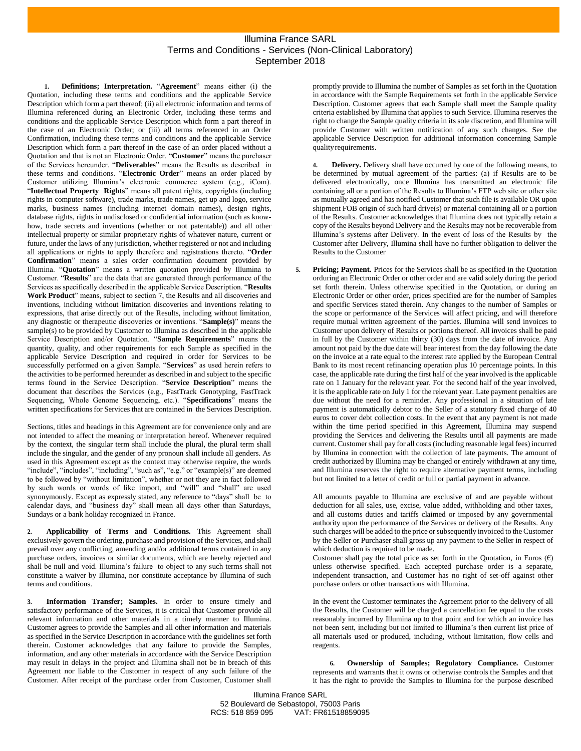## Illumina France SARL Terms and Conditions - Services (Non-Clinical Laboratory) September 2018

**1. Definitions; Interpretation.** "**Agreement**" means either (i) the Quotation, including these terms and conditions and the applicable Service Description which form a part thereof; (ii) all electronic information and terms of Illumina referenced during an Electronic Order, including these terms and conditions and the applicable Service Description which form a part thereof in the case of an Electronic Order; or (iii) all terms referenced in an Order Confirmation, including these terms and conditions and the applicable Service Description which form a part thereof in the case of an order placed without a Quotation and that is not an Electronic Order. "**Customer**" means the purchaser of the Services hereunder. "**Deliverables**" means the Results as described in these terms and conditions. "**Electronic Order**" means an order placed by Customer utilizing Illumina's electronic commerce system (e.g., iCom). "**Intellectual Property Rights**" means all patent rights, copyrights (including rights in computer software), trade marks, trade names, get up and logo, service marks, business names (including internet domain names), design rights, database rights, rights in undisclosed or confidential information (such as knowhow, trade secrets and inventions (whether or not patentable)) and all other intellectual property or similar proprietary rights of whatever nature, current or future, under the laws of any jurisdiction, whether registered or not and including all applications or rights to apply therefore and registrations thereto. "**Order Confirmation**" means a sales order confirmation document provided by Illumina. "**Quotation**" means a written quotation provided by Illumina to Customer. "**Results**" are the data that are generated through performance of the Services as specifically described in the applicable Service Description. "**Results Work Product**" means, subject to section 7, the Results and all discoveries and inventions, including without limitation discoveries and inventions relating to expressions, that arise directly out of the Results, including without limitation, any diagnostic or therapeutic discoveries or inventions. "**Sample(s)**" means the sample(s) to be provided by Customer to Illumina as described in the applicable Service Description and/or Quotation. "**Sample Requirements**" means the quantity, quality, and other requirements for each Sample as specified in the applicable Service Description and required in order for Services to be successfully performed on a given Sample. "**Services**" as used herein refers to the activities to be performed hereunder as described in and subject to the specific terms found in the Service Description. "**Service Description**" means the document that describes the Services (e.g., FastTrack Genotyping, FastTrack Sequencing, Whole Genome Sequencing, etc.). "**Specifications**" means the written specifications for Services that are contained in the Services Description.

Sections, titles and headings in this Agreement are for convenience only and are not intended to affect the meaning or interpretation hereof. Whenever required by the context, the singular term shall include the plural, the plural term shall include the singular, and the gender of any pronoun shall include all genders. As used in this Agreement except as the context may otherwise require, the words "include", "includes", "including", "such as", "e.g." or "example(s)" are deemed to be followed by "without limitation", whether or not they are in fact followed by such words or words of like import, and "will" and "shall" are used synonymously. Except as expressly stated, any reference to "days" shall be to calendar days, and "business day" shall mean all days other than Saturdays, Sundays or a bank holiday recognized in France.

**2. Applicability of Terms and Conditions.** This Agreement shall exclusively govern the ordering, purchase and provision of the Services, and shall prevail over any conflicting, amending and/or additional terms contained in any purchase orders, invoices or similar documents, which are hereby rejected and shall be null and void. Illumina's failure to object to any such terms shall not constitute a waiver by Illumina, nor constitute acceptance by Illumina of such terms and conditions.

**3. Information Transfer; Samples.** In order to ensure timely and satisfactory performance of the Services, it is critical that Customer provide all relevant information and other materials in a timely manner to Illumina. Customer agrees to provide the Samples and all other information and materials as specified in the Service Description in accordance with the guidelines set forth therein. Customer acknowledges that any failure to provide the Samples, information, and any other materials in accordance with the Service Description may result in delays in the project and Illumina shall not be in breach of this Agreement nor liable to the Customer in respect of any such failure of the Customer. After receipt of the purchase order from Customer, Customer shall

promptly provide to Illumina the number of Samples as set forth in the Quotation in accordance with the Sample Requirements set forth in the applicable Service Description. Customer agrees that each Sample shall meet the Sample quality criteria established by Illumina that applies to such Service. Illumina reserves the right to change the Sample quality criteria in its sole discretion, and Illumina will provide Customer with written notification of any such changes. See the applicable Service Description for additional information concerning Sample qualityrequirements.

**4. Delivery.** Delivery shall have occurred by one of the following means, to be determined by mutual agreement of the parties: (a) if Results are to be delivered electronically, once Illumina has transmitted an electronic file containing all or a portion of the Results to Illumina's FTP web site or other site as mutually agreed and has notified Customer that such file is available OR upon shipment FOB origin of such hard drive(s) or material containing all or a portion of the Results. Customer acknowledges that Illumina does not typically retain a copy of the Results beyond Delivery and the Results may not be recoverable from Illumina's systems after Delivery. In the event of loss of the Results by the Customer after Delivery, Illumina shall have no further obligation to deliver the Results to the Customer

**5. Pricing; Payment.** Prices for the Services shall be as specified in the Quotation orduring an Electronic Order or other order and are valid solely during the period set forth therein. Unless otherwise specified in the Quotation, or during an Electronic Order or other order, prices specified are for the number of Samples and specific Services stated therein. Any changes to the number of Samples or the scope or performance of the Services will affect pricing, and will therefore require mutual written agreement of the parties. Illumina will send invoices to Customer upon delivery of Results or portions thereof. All invoices shall be paid in full by the Customer within thirty (30) days from the date of invoice. Any amount not paid by the due date will bear interest from the day following the date on the invoice at a rate equal to the interest rate applied by the European Central Bank to its most recent refinancing operation plus 10 percentage points. In this case, the applicable rate during the first half of the year involved is the applicable rate on 1 January for the relevant year. For the second half of the year involved, it is the applicable rate on July 1 for the relevant year. Late payment penalties are due without the need for a reminder. Any professional in a situation of late payment is automatically debtor to the Seller of a statutory fixed charge of 40 euros to cover debt collection costs. In the event that any payment is not made within the time period specified in this Agreement, Illumina may suspend providing the Services and delivering the Results until all payments are made current. Customer shall pay for all costs (including reasonable legal fees) incurred by Illumina in connection with the collection of late payments. The amount of credit authorized by Illumina may be changed or entirely withdrawn at any time, and Illumina reserves the right to require alternative payment terms, including but not limited to a letter of credit or full or partial payment in advance.

All amounts payable to Illumina are exclusive of and are payable without deduction for all sales, use, excise, value added, withholding and other taxes, and all customs duties and tariffs claimed or imposed by any governmental authority upon the performance of the Services or delivery of the Results. Any such charges will be added to the price or subsequently invoiced to the Customer by the Seller or Purchaser shall gross up any payment to the Seller in respect of which deduction is required to be made.

Customer shall pay the total price as set forth in the Quotation, in Euros  $(\epsilon)$ unless otherwise specified. Each accepted purchase order is a separate, independent transaction, and Customer has no right of set-off against other purchase orders or other transactions with Illumina.

In the event the Customer terminates the Agreement prior to the delivery of all the Results, the Customer will be charged a cancellation fee equal to the costs reasonably incurred by Illumina up to that point and for which an invoice has not been sent, including but not limited to Illumina's then current list price of all materials used or produced, including, without limitation, flow cells and reagents.

**6. Ownership of Samples; Regulatory Compliance.** Customer represents and warrants that it owns or otherwise controls the Samples and that it has the right to provide the Samples to Illumina for the purpose described

Illumina France SARL 52 Boulevard de Sebastopol, 75003 Paris RCS: 518 859 095 VAT: FR61518859095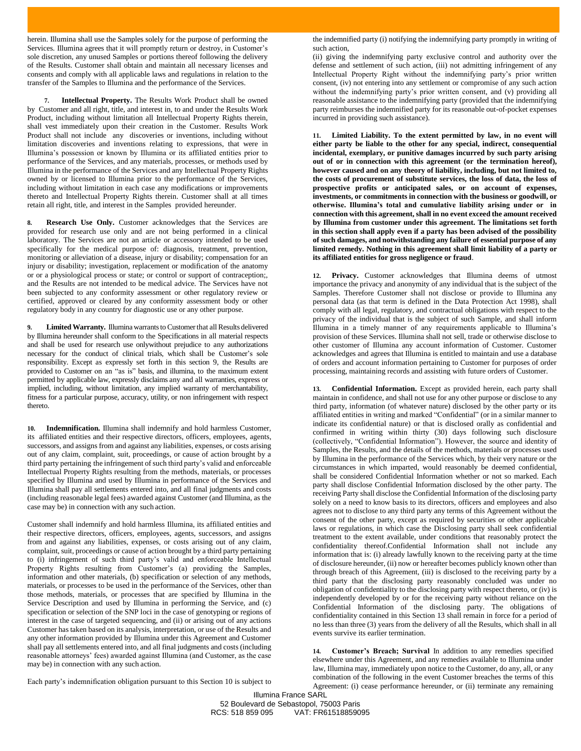herein. Illumina shall use the Samples solely for the purpose of performing the Services. Illumina agrees that it will promptly return or destroy, in Customer's sole discretion, any unused Samples or portions thereof following the delivery of the Results. Customer shall obtain and maintain all necessary licenses and consents and comply with all applicable laws and regulations in relation to the transfer of the Samples to Illumina and the performance of the Services.

**7. Intellectual Property.** The Results Work Product shall be owned by Customer and all right, title, and interest in, to and under the Results Work Product, including without limitation all Intellectual Property Rights therein, shall vest immediately upon their creation in the Customer. Results Work Product shall not include any discoveries or inventions, including without limitation discoveries and inventions relating to expressions, that were in Illumina's possession or known by Illumina or its affiliated entities prior to performance of the Services, and any materials, processes, or methods used by Illumina in the performance of the Services and any Intellectual Property Rights owned by or licensed to Illumina prior to the performance of the Services, including without limitation in each case any modifications or improvements thereto and Intellectual Property Rights therein. Customer shall at all times retain all right, title, and interest in the Samples provided hereunder.

**8. Research Use Only.** Customer acknowledges that the Services are provided for research use only and are not being performed in a clinical laboratory. The Services are not an article or accessory intended to be used specifically for the medical purpose of: diagnosis, treatment, prevention, monitoring or alleviation of a disease, injury or disability; compensation for an injury or disability; investigation, replacement or modification of the anatomy or or a physiological process or state; or control or support of contraception;, and the Results are not intended to be medical advice. The Services have not been subjected to any conformity assessment or other regulatory review or certified, approved or cleared by any conformity assessment body or other regulatory body in any country for diagnostic use or any other purpose.

9. **Limited Warranty.** Illumina warrants to Customer that all Results delivered by Illumina hereunder shall conform to the Specifications in all material respects and shall be used for research use onlywithout prejudice to any authorizations necessary for the conduct of clinical trials, which shall be Customer's sole responsibility. Except as expressly set forth in this section 9, the Results are provided to Customer on an "as is" basis, and illumina, to the maximum extent permitted by applicable law, expressly disclaims any and all warranties, express or implied, including, without limitation, any implied warranty of merchantability, fitness for a particular purpose, accuracy, utility, or non infringement with respect thereto.

<span id="page-1-0"></span>**10. Indemnification.** Illumina shall indemnify and hold harmless Customer, its affiliated entities and their respective directors, officers, employees, agents, successors, and assigns from and against any liabilities, expenses, or costs arising out of any claim, complaint, suit, proceedings, or cause of action brought by a third party pertaining the infringement of such third party's valid and enforceable Intellectual Property Rights resulting from the methods, materials, or processes specified by Illumina and used by Illumina in performance of the Services and Illumina shall pay all settlements entered into, and all final judgments and costs (including reasonable legal fees) awarded against Customer (and Illumina, as the case may be) in connection with any such action.

Customer shall indemnify and hold harmless Illumina, its affiliated entities and their respective directors, officers, employees, agents, successors, and assigns from and against any liabilities, expenses, or costs arising out of any claim, complaint, suit, proceedings or cause of action brought by a third party pertaining to (i) infringement of such third party's valid and enforceable Intellectual Property Rights resulting from Customer's (a) providing the Samples, information and other materials, (b) specification or selection of any methods, materials, or processes to be used in the performance of the Services, other than those methods, materials, or processes that are specified by Illumina in the Service Description and used by Illumina in performing the Service, and (c) specification or selection of the SNP loci in the case of genotyping or regions of interest in the case of targeted sequencing, and (ii) or arising out of any actions Customer has taken based on its analysis, interpretation, or use of the Results and any other information provided by Illumina under this Agreement and Customer shall pay all settlements entered into, and all final judgments and costs (including reasonable attorneys' fees) awarded against Illumina (and Customer, as the case may be) in connection with any such action.

the indemnified party (i) notifying the indemnifying party promptly in writing of such action,

(ii) giving the indemnifying party exclusive control and authority over the defense and settlement of such action, (iii) not admitting infringement of any Intellectual Property Right without the indemnifying party's prior written consent, (iv) not entering into any settlement or compromise of any such action without the indemnifying party's prior written consent, and (v) providing all reasonable assistance to the indemnifying party (provided that the indemnifying party reimburses the indemnified party for its reasonable out-of-pocket expenses incurred in providing such assistance).

**11. Limited Liability. To the extent permitted by law, in no event will either party be liable to the other for any special, indirect, consequential incidental, exemplary, or punitive damages incurred by such party arising out of or in connection with this agreement (or the termination hereof), however caused and on any theory of liability, including, but not limited to, the costs of procurement of substitute services, the loss of data, the loss of prospective profits or anticipated sales, or on account of expenses, investments, or commitments in connection with the business or goodwill, or otherwise. Illumina's total and cumulative liability arising under or in connection with this agreement, shall in no event exceed the amount received by Illumina from customer under this agreement. The limitations set forth in this section shall apply even if a party has been advised of the possibility of such damages, and notwithstanding any failure of essential purpose of any limited remedy. Nothing in this agreement shall limit liability of a party or its affiliated entities for gross negligence or fraud**.

**12. Privacy.** Customer acknowledges that Illumina deems of utmost importance the privacy and anonymity of any individual that is the subject of the Samples. Therefore Customer shall not disclose or provide to Illumina any personal data (as that term is defined in the Data Protection Act 1998), shall comply with all legal, regulatory, and contractual obligations with respect to the privacy of the individual that is the subject of such Sample, and shall inform Illumina in a timely manner of any requirements applicable to Illumina's provision of these Services. Illumina shall not sell, trade or otherwise disclose to other customer of Illumina any account information of Customer. Customer acknowledges and agrees that Illumina is entitled to maintain and use a database of orders and account information pertaining to Customer for purposes of order processing, maintaining records and assisting with future orders of Customer.

<span id="page-1-1"></span>**13. Confidential Information.** Except as provided herein, each party shall maintain in confidence, and shall not use for any other purpose or disclose to any third party, information (of whatever nature) disclosed by the other party or its affiliated entities in writing and marked "Confidential" (or in a similar manner to indicate its confidential nature) or that is disclosed orally as confidential and confirmed in writing within thirty (30) days following such disclosure (collectively, "Confidential Information"). However, the source and identity of Samples, the Results, and the details of the methods, materials or processes used by Illumina in the performance of the Services which, by their very nature or the circumstances in which imparted, would reasonably be deemed confidential, shall be considered Confidential Information whether or not so marked. Each party shall disclose Confidential Information disclosed by the other party. The receiving Party shall disclose the Confidential Information of the disclosing party solely on a need to know basis to its directors, officers and employees and also agrees not to disclose to any third party any terms of this Agreement without the consent of the other party, except as required by securities or other applicable laws or regulations, in which case the Disclosing party shall seek confidential treatment to the extent available, under conditions that reasonably protect the confidentiality thereof.Confidential Information shall not include any information that is: (i) already lawfully known to the receiving party at the time of disclosure hereunder, (ii) now or hereafter becomes publicly known other than through breach of this Agreement, (iii) is disclosed to the receiving party by a third party that the disclosing party reasonably concluded was under no obligation of confidentiality to the disclosing party with respect thereto, or (iv) is independently developed by or for the receiving party without reliance on the Confidential Information of the disclosing party. The obligations of confidentiality contained in this Section [13 s](#page-1-1)hall remain in force for a period of no less than three (3) years from the delivery of all the Results, which shall in all events survive its earlier termination.

**14. Customer's Breach; Survival** In addition to any remedies specified elsewhere under this Agreement, and any remedies available to Illumina under law, Illumina may, immediately upon notice to the Customer, do any, all, or any combination of the following in the event Customer breaches the terms of this Agreement: (i) cease performance hereunder, or (ii) terminate any remaining

Each party's indemnification obligation pursuant to this Section [10](#page-1-0) is subject to